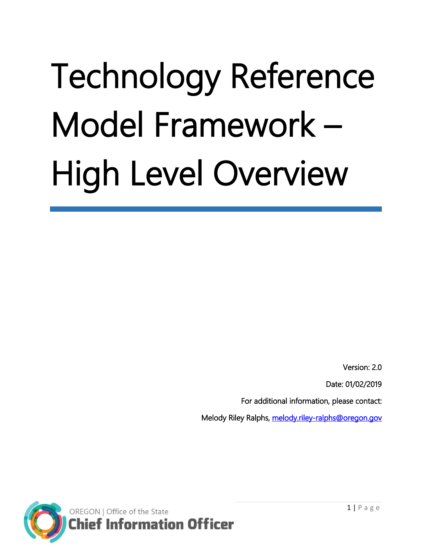# Technology Reference Model Framework – High Level Overview

Version: 2.0

Date: 01/02/2019

For additional information, please contact:

Melody Riley Ralphs, melody.riley-ralphs@oregon.gov

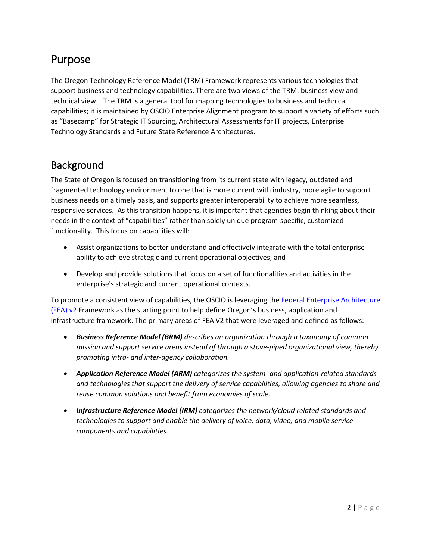## Purpose

The Oregon Technology Reference Model (TRM) Framework represents various technologies that support business and technology capabilities. There are two views of the TRM: business view and technical view. The TRM is a general tool for mapping technologies to business and technical capabilities; it is maintained by OSCIO Enterprise Alignment program to support a variety of efforts such as "Basecamp" for Strategic IT Sourcing, Architectural Assessments for IT projects, Enterprise Technology Standards and Future State Reference Architectures.

## **Background**

The State of Oregon is focused on transitioning from its current state with legacy, outdated and fragmented technology environment to one that is more current with industry, more agile to support business needs on a timely basis, and supports greater interoperability to achieve more seamless, responsive services. As this transition happens, it is important that agencies begin thinking about their needs in the context of "capabilities" rather than solely unique program-specific, customized functionality. This focus on capabilities will:

- Assist organizations to better understand and effectively integrate with the total enterprise ability to achieve strategic and current operational objectives; and
- Develop and provide solutions that focus on a set of functionalities and activities in the enterprise's strategic and current operational contexts.

To promote a consistent view of capabilities, the OSCIO is leveraging th[e Federal Enterprise Architecture](https://obamawhitehouse.archives.gov/sites/default/files/omb/assets/egov_docs/fea_v2.pdf) [\(FEA\) v2](https://obamawhitehouse.archives.gov/sites/default/files/omb/assets/egov_docs/fea_v2.pdf) Framework as the starting point to help define Oregon's business, application and infrastructure framework. The primary areas of FEA V2 that were leveraged and defined as follows:

- *Business Reference Model (BRM) describes an organization through a taxonomy of common mission and support service areas instead of through a stove-piped organizational view, thereby promoting intra- and inter-agency collaboration.*
- *Application Reference Model (ARM) categorizes the system- and application-related standards and technologies that support the delivery of service capabilities, allowing agencies to share and reuse common solutions and benefit from economies of scale.*
- *Infrastructure Reference Model (IRM) categorizes the network/cloud related standards and technologies to support and enable the delivery of voice, data, video, and mobile service components and capabilities.*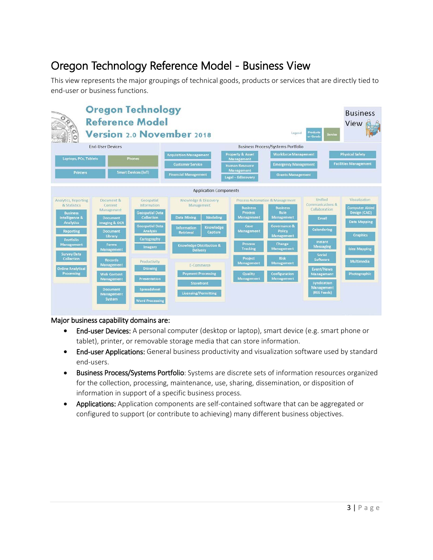## Oregon Technology Reference Model - Business View

This view represents the major groupings of technical goods, products or services that are directly tied to end-user or business functions.



#### Major business capability domains are:

- End-user Devices: A personal computer (desktop or laptop), smart device (e.g. smart phone or tablet), printer, or removable storage media that can store information.
- End-user Applications: General business productivity and visualization software used by standard end-users.
- Business Process/Systems Portfolio: Systems are discrete sets of information resources organized for the collection, processing, maintenance, use, sharing, dissemination, or disposition of information in support of a specific business process.
- Applications: Application components are self-contained software that can be aggregated or configured to support (or contribute to achieving) many different business objectives.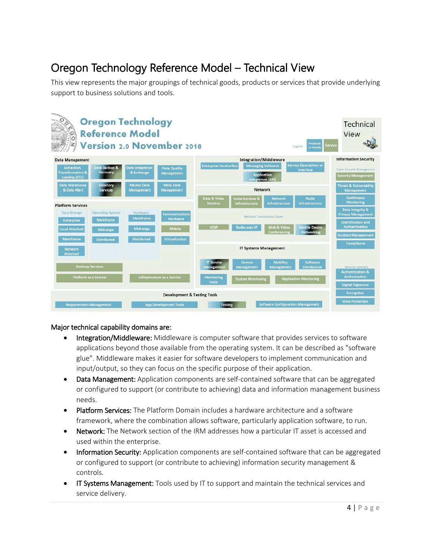# Oregon Technology Reference Model – Technical View

This view represents the major groupings of technical goods, products or services that provide underlying support to business solutions and tools.



#### Major technical capability domains are:

- Integration/Middleware: Middleware is computer software that provides services to software applications beyond those available from the operating system. It can be described as "software glue". Middleware makes it easier for software developers to implement communication and input/output, so they can focus on the specific purpose of their application.
- Data Management: Application components are self-contained software that can be aggregated or configured to support (or contribute to achieving) data and information management business needs.
- Platform Services: The Platform Domain includes a hardware architecture and a software framework, where the combination allows software, particularly application software, to run.
- Network: The Network section of the IRM addresses how a particular IT asset is accessed and used within the enterprise.
- Information Security: Application components are self-contained software that can be aggregated or configured to support (or contribute to achieving) information security management & controls.
- IT Systems Management: Tools used by IT to support and maintain the technical services and service delivery.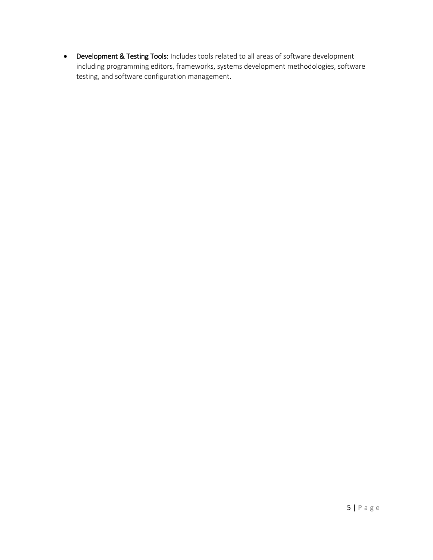• Development & Testing Tools: Includes tools related to all areas of software development including programming editors, frameworks, systems development methodologies, software testing, and software configuration management.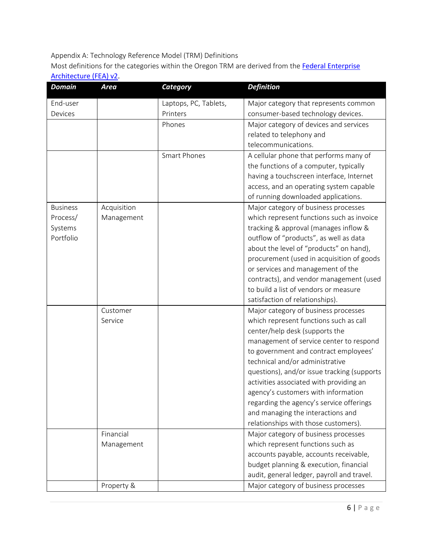### Appendix A: Technology Reference Model (TRM) Definitions

Most definitions for the categories within the Oregon TRM are derived from the Federal Enterprise [Architecture \(FEA\) v2.](https://www.whitehouse.gov/sites/default/files/omb/assets/egov_docs/fea_v2.pdf)

| <b>Domain</b>   | <b>Area</b> | <b>Category</b>       | <b>Definition</b>                           |
|-----------------|-------------|-----------------------|---------------------------------------------|
| End-user        |             | Laptops, PC, Tablets, | Major category that represents common       |
| Devices         |             | Printers              | consumer-based technology devices.          |
|                 |             | Phones                | Major category of devices and services      |
|                 |             |                       | related to telephony and                    |
|                 |             |                       | telecommunications.                         |
|                 |             | <b>Smart Phones</b>   | A cellular phone that performs many of      |
|                 |             |                       | the functions of a computer, typically      |
|                 |             |                       | having a touchscreen interface, Internet    |
|                 |             |                       | access, and an operating system capable     |
|                 |             |                       | of running downloaded applications.         |
| <b>Business</b> | Acquisition |                       | Major category of business processes        |
| Process/        | Management  |                       | which represent functions such as invoice   |
| Systems         |             |                       | tracking & approval (manages inflow &       |
| Portfolio       |             |                       | outflow of "products", as well as data      |
|                 |             |                       | about the level of "products" on hand),     |
|                 |             |                       | procurement (used in acquisition of goods   |
|                 |             |                       | or services and management of the           |
|                 |             |                       | contracts), and vendor management (used     |
|                 |             |                       | to build a list of vendors or measure       |
|                 |             |                       | satisfaction of relationships).             |
|                 | Customer    |                       | Major category of business processes        |
|                 | Service     |                       | which represent functions such as call      |
|                 |             |                       | center/help desk (supports the              |
|                 |             |                       | management of service center to respond     |
|                 |             |                       | to government and contract employees'       |
|                 |             |                       | technical and/or administrative             |
|                 |             |                       | questions), and/or issue tracking (supports |
|                 |             |                       | activities associated with providing an     |
|                 |             |                       | agency's customers with information         |
|                 |             |                       | regarding the agency's service offerings    |
|                 |             |                       | and managing the interactions and           |
|                 |             |                       | relationships with those customers).        |
|                 | Financial   |                       | Major category of business processes        |
|                 | Management  |                       | which represent functions such as           |
|                 |             |                       | accounts payable, accounts receivable,      |
|                 |             |                       | budget planning & execution, financial      |
|                 |             |                       | audit, general ledger, payroll and travel.  |
|                 | Property &  |                       | Major category of business processes        |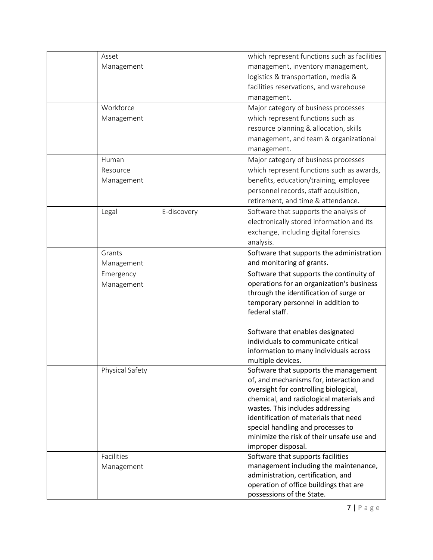| Asset           |             | which represent functions such as facilities         |
|-----------------|-------------|------------------------------------------------------|
| Management      |             | management, inventory management,                    |
|                 |             | logistics & transportation, media &                  |
|                 |             | facilities reservations, and warehouse               |
|                 |             | management.                                          |
| Workforce       |             | Major category of business processes                 |
| Management      |             | which represent functions such as                    |
|                 |             | resource planning & allocation, skills               |
|                 |             | management, and team & organizational                |
|                 |             | management.                                          |
| Human           |             | Major category of business processes                 |
| Resource        |             | which represent functions such as awards,            |
| Management      |             | benefits, education/training, employee               |
|                 |             | personnel records, staff acquisition,                |
|                 |             | retirement, and time & attendance.                   |
|                 |             |                                                      |
| Legal           | E-discovery | Software that supports the analysis of               |
|                 |             | electronically stored information and its            |
|                 |             | exchange, including digital forensics                |
|                 |             | analysis.                                            |
| Grants          |             | Software that supports the administration            |
| Management      |             | and monitoring of grants.                            |
| Emergency       |             | Software that supports the continuity of             |
| Management      |             | operations for an organization's business            |
|                 |             | through the identification of surge or               |
|                 |             | temporary personnel in addition to<br>federal staff. |
|                 |             |                                                      |
|                 |             | Software that enables designated                     |
|                 |             | individuals to communicate critical                  |
|                 |             | information to many individuals across               |
|                 |             | multiple devices.                                    |
| Physical Safety |             | Software that supports the management                |
|                 |             | of, and mechanisms for, interaction and              |
|                 |             | oversight for controlling biological,                |
|                 |             | chemical, and radiological materials and             |
|                 |             | wastes. This includes addressing                     |
|                 |             | identification of materials that need                |
|                 |             | special handling and processes to                    |
|                 |             | minimize the risk of their unsafe use and            |
|                 |             | improper disposal.                                   |
| Facilities      |             | Software that supports facilities                    |
| Management      |             | management including the maintenance,                |
|                 |             | administration, certification, and                   |
|                 |             | operation of office buildings that are               |
|                 |             | possessions of the State.                            |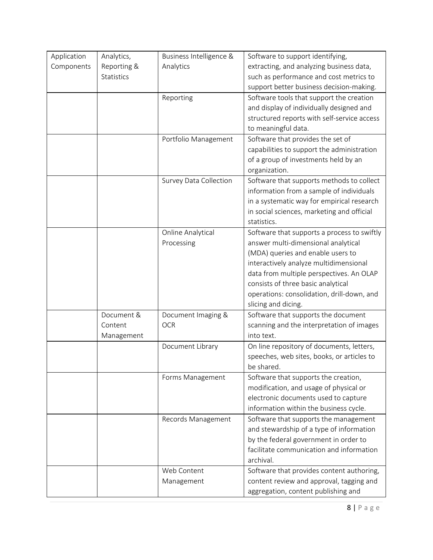| Application | Analytics,        | Business Intelligence & | Software to support identifying,            |
|-------------|-------------------|-------------------------|---------------------------------------------|
| Components  | Reporting &       | Analytics               | extracting, and analyzing business data,    |
|             | <b>Statistics</b> |                         | such as performance and cost metrics to     |
|             |                   |                         | support better business decision-making.    |
|             |                   | Reporting               | Software tools that support the creation    |
|             |                   |                         | and display of individually designed and    |
|             |                   |                         | structured reports with self-service access |
|             |                   |                         | to meaningful data.                         |
|             |                   | Portfolio Management    | Software that provides the set of           |
|             |                   |                         | capabilities to support the administration  |
|             |                   |                         | of a group of investments held by an        |
|             |                   |                         | organization.                               |
|             |                   | Survey Data Collection  | Software that supports methods to collect   |
|             |                   |                         | information from a sample of individuals    |
|             |                   |                         | in a systematic way for empirical research  |
|             |                   |                         | in social sciences, marketing and official  |
|             |                   |                         | statistics.                                 |
|             |                   | Online Analytical       | Software that supports a process to swiftly |
|             |                   | Processing              | answer multi-dimensional analytical         |
|             |                   |                         | (MDA) queries and enable users to           |
|             |                   |                         | interactively analyze multidimensional      |
|             |                   |                         | data from multiple perspectives. An OLAP    |
|             |                   |                         | consists of three basic analytical          |
|             |                   |                         | operations: consolidation, drill-down, and  |
|             |                   |                         | slicing and dicing.                         |
|             | Document &        | Document Imaging &      | Software that supports the document         |
|             | Content           | <b>OCR</b>              | scanning and the interpretation of images   |
|             | Management        |                         | into text.                                  |
|             |                   | Document Library        | On line repository of documents, letters,   |
|             |                   |                         | speeches, web sites, books, or articles to  |
|             |                   |                         | be shared.                                  |
|             |                   | Forms Management        | Software that supports the creation,        |
|             |                   |                         | modification, and usage of physical or      |
|             |                   |                         | electronic documents used to capture        |
|             |                   |                         | information within the business cycle.      |
|             |                   | Records Management      | Software that supports the management       |
|             |                   |                         | and stewardship of a type of information    |
|             |                   |                         | by the federal government in order to       |
|             |                   |                         | facilitate communication and information    |
|             |                   |                         | archival.                                   |
|             |                   | Web Content             | Software that provides content authoring,   |
|             |                   | Management              | content review and approval, tagging and    |
|             |                   |                         | aggregation, content publishing and         |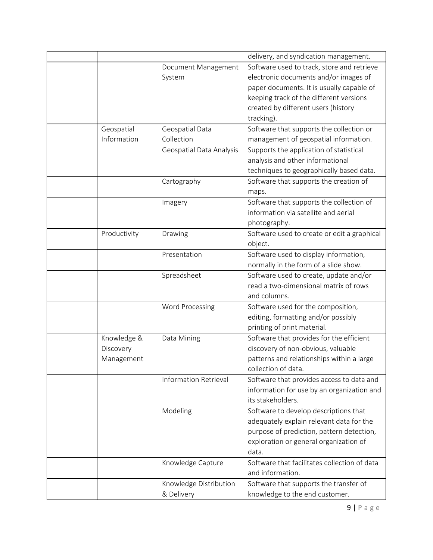|              |                              | delivery, and syndication management.        |
|--------------|------------------------------|----------------------------------------------|
|              | Document Management          | Software used to track, store and retrieve   |
|              | System                       | electronic documents and/or images of        |
|              |                              | paper documents. It is usually capable of    |
|              |                              | keeping track of the different versions      |
|              |                              | created by different users (history          |
|              |                              | tracking).                                   |
| Geospatial   | Geospatial Data              | Software that supports the collection or     |
| Information  | Collection                   | management of geospatial information.        |
|              | Geospatial Data Analysis     | Supports the application of statistical      |
|              |                              | analysis and other informational             |
|              |                              | techniques to geographically based data.     |
|              | Cartography                  | Software that supports the creation of       |
|              |                              | maps.                                        |
|              | Imagery                      | Software that supports the collection of     |
|              |                              | information via satellite and aerial         |
|              |                              | photography.                                 |
| Productivity | Drawing                      | Software used to create or edit a graphical  |
|              |                              | object.                                      |
|              | Presentation                 | Software used to display information,        |
|              |                              | normally in the form of a slide show.        |
|              | Spreadsheet                  | Software used to create, update and/or       |
|              |                              | read a two-dimensional matrix of rows        |
|              |                              | and columns.                                 |
|              | Word Processing              | Software used for the composition,           |
|              |                              | editing, formatting and/or possibly          |
|              |                              | printing of print material.                  |
| Knowledge &  | Data Mining                  | Software that provides for the efficient     |
| Discovery    |                              | discovery of non-obvious, valuable           |
| Management   |                              | patterns and relationships within a large    |
|              |                              | collection of data.                          |
|              | <b>Information Retrieval</b> | Software that provides access to data and    |
|              |                              | information for use by an organization and   |
|              |                              | its stakeholders.                            |
|              | Modeling                     | Software to develop descriptions that        |
|              |                              | adequately explain relevant data for the     |
|              |                              | purpose of prediction, pattern detection,    |
|              |                              | exploration or general organization of       |
|              |                              | data.                                        |
|              | Knowledge Capture            | Software that facilitates collection of data |
|              |                              | and information.                             |
|              | Knowledge Distribution       | Software that supports the transfer of       |
|              | & Delivery                   | knowledge to the end customer.               |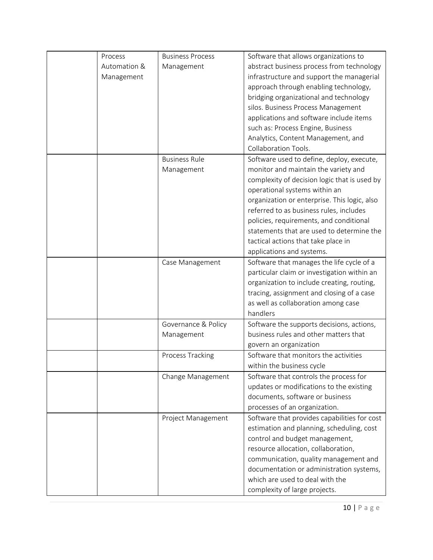| Process      | <b>Business Process</b> | Software that allows organizations to        |
|--------------|-------------------------|----------------------------------------------|
| Automation & | Management              | abstract business process from technology    |
| Management   |                         | infrastructure and support the managerial    |
|              |                         | approach through enabling technology,        |
|              |                         | bridging organizational and technology       |
|              |                         | silos. Business Process Management           |
|              |                         | applications and software include items      |
|              |                         | such as: Process Engine, Business            |
|              |                         | Analytics, Content Management, and           |
|              |                         | Collaboration Tools.                         |
|              | <b>Business Rule</b>    | Software used to define, deploy, execute,    |
|              | Management              | monitor and maintain the variety and         |
|              |                         | complexity of decision logic that is used by |
|              |                         | operational systems within an                |
|              |                         | organization or enterprise. This logic, also |
|              |                         | referred to as business rules, includes      |
|              |                         | policies, requirements, and conditional      |
|              |                         | statements that are used to determine the    |
|              |                         | tactical actions that take place in          |
|              |                         | applications and systems.                    |
|              | Case Management         | Software that manages the life cycle of a    |
|              |                         | particular claim or investigation within an  |
|              |                         | organization to include creating, routing,   |
|              |                         | tracing, assignment and closing of a case    |
|              |                         | as well as collaboration among case          |
|              |                         | handlers                                     |
|              | Governance & Policy     | Software the supports decisions, actions,    |
|              | Management              | business rules and other matters that        |
|              |                         | govern an organization                       |
|              | Process Tracking        | Software that monitors the activities        |
|              |                         | within the business cycle                    |
|              | Change Management       | Software that controls the process for       |
|              |                         | updates or modifications to the existing     |
|              |                         | documents, software or business              |
|              |                         | processes of an organization.                |
|              | Project Management      | Software that provides capabilities for cost |
|              |                         | estimation and planning, scheduling, cost    |
|              |                         | control and budget management,               |
|              |                         | resource allocation, collaboration,          |
|              |                         | communication, quality management and        |
|              |                         | documentation or administration systems,     |
|              |                         | which are used to deal with the              |
|              |                         | complexity of large projects.                |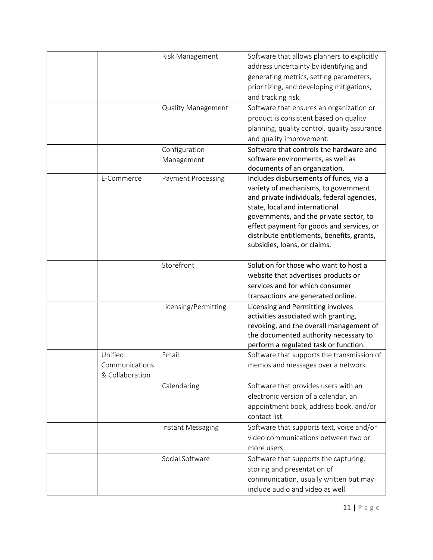|                                              | Risk Management<br><b>Quality Management</b> | Software that allows planners to explicitly<br>address uncertainty by identifying and<br>generating metrics, setting parameters,<br>prioritizing, and developing mitigations,<br>and tracking risk.<br>Software that ensures an organization or<br>product is consistent based on quality<br>planning, quality control, quality assurance<br>and quality improvement. |
|----------------------------------------------|----------------------------------------------|-----------------------------------------------------------------------------------------------------------------------------------------------------------------------------------------------------------------------------------------------------------------------------------------------------------------------------------------------------------------------|
|                                              | Configuration<br>Management                  | Software that controls the hardware and<br>software environments, as well as<br>documents of an organization.                                                                                                                                                                                                                                                         |
| E-Commerce                                   | <b>Payment Processing</b>                    | Includes disbursements of funds, via a<br>variety of mechanisms, to government<br>and private individuals, federal agencies,<br>state, local and international<br>governments, and the private sector, to<br>effect payment for goods and services, or<br>distribute entitlements, benefits, grants,<br>subsidies, loans, or claims.                                  |
|                                              | Storefront                                   | Solution for those who want to host a<br>website that advertises products or<br>services and for which consumer<br>transactions are generated online.                                                                                                                                                                                                                 |
|                                              | Licensing/Permitting                         | Licensing and Permitting involves<br>activities associated with granting,<br>revoking, and the overall management of<br>the documented authority necessary to<br>perform a regulated task or function.                                                                                                                                                                |
| Unified<br>Communications<br>& Collaboration | Email                                        | Software that supports the transmission of<br>memos and messages over a network.                                                                                                                                                                                                                                                                                      |
|                                              | Calendaring                                  | Software that provides users with an<br>electronic version of a calendar, an<br>appointment book, address book, and/or<br>contact list.                                                                                                                                                                                                                               |
|                                              | Instant Messaging                            | Software that supports text, voice and/or<br>video communications between two or<br>more users.                                                                                                                                                                                                                                                                       |
|                                              | Social Software                              | Software that supports the capturing,<br>storing and presentation of<br>communication, usually written but may<br>include audio and video as well.                                                                                                                                                                                                                    |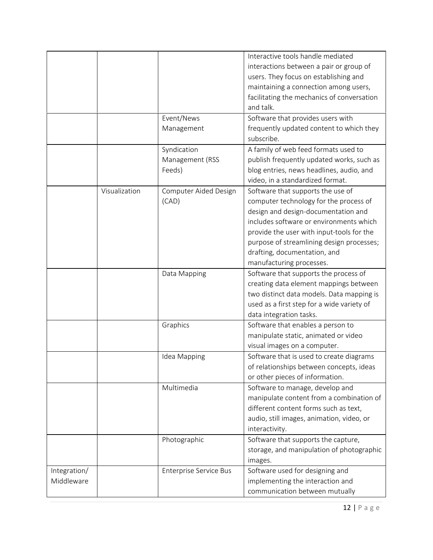|              |               |                        | Interactive tools handle mediated          |
|--------------|---------------|------------------------|--------------------------------------------|
|              |               |                        | interactions between a pair or group of    |
|              |               |                        | users. They focus on establishing and      |
|              |               |                        | maintaining a connection among users,      |
|              |               |                        | facilitating the mechanics of conversation |
|              |               |                        | and talk.                                  |
|              |               | Event/News             | Software that provides users with          |
|              |               | Management             | frequently updated content to which they   |
|              |               |                        | subscribe.                                 |
|              |               | Syndication            | A family of web feed formats used to       |
|              |               | Management (RSS        | publish frequently updated works, such as  |
|              |               | Feeds)                 | blog entries, news headlines, audio, and   |
|              |               |                        | video, in a standardized format.           |
|              | Visualization | Computer Aided Design  | Software that supports the use of          |
|              |               | (CAD)                  | computer technology for the process of     |
|              |               |                        | design and design-documentation and        |
|              |               |                        | includes software or environments which    |
|              |               |                        | provide the user with input-tools for the  |
|              |               |                        | purpose of streamlining design processes;  |
|              |               |                        | drafting, documentation, and               |
|              |               |                        | manufacturing processes.                   |
|              |               | Data Mapping           | Software that supports the process of      |
|              |               |                        | creating data element mappings between     |
|              |               |                        | two distinct data models. Data mapping is  |
|              |               |                        | used as a first step for a wide variety of |
|              |               |                        | data integration tasks.                    |
|              |               | Graphics               | Software that enables a person to          |
|              |               |                        | manipulate static, animated or video       |
|              |               |                        | visual images on a computer.               |
|              |               | Idea Mapping           | Software that is used to create diagrams   |
|              |               |                        | of relationships between concepts, ideas   |
|              |               |                        | or other pieces of information.            |
|              |               | Multimedia             | Software to manage, develop and            |
|              |               |                        | manipulate content from a combination of   |
|              |               |                        | different content forms such as text,      |
|              |               |                        | audio, still images, animation, video, or  |
|              |               |                        | interactivity.                             |
|              |               | Photographic           | Software that supports the capture,        |
|              |               |                        | storage, and manipulation of photographic  |
|              |               |                        | images.                                    |
| Integration/ |               | Enterprise Service Bus | Software used for designing and            |
| Middleware   |               |                        | implementing the interaction and           |
|              |               |                        | communication between mutually             |
|              |               |                        |                                            |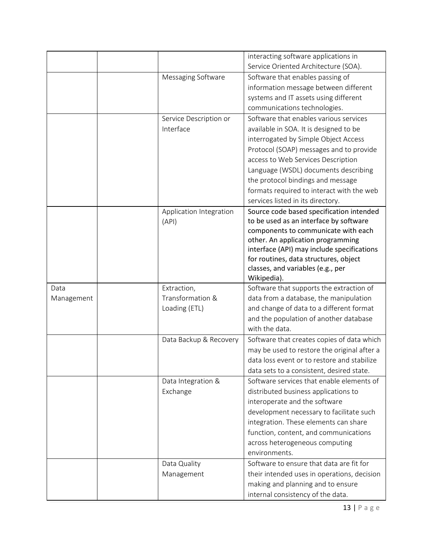|            |                         | interacting software applications in                                       |
|------------|-------------------------|----------------------------------------------------------------------------|
|            |                         | Service Oriented Architecture (SOA).                                       |
|            | Messaging Software      | Software that enables passing of                                           |
|            |                         | information message between different                                      |
|            |                         | systems and IT assets using different                                      |
|            |                         | communications technologies.                                               |
|            | Service Description or  | Software that enables various services                                     |
|            | Interface               | available in SOA. It is designed to be                                     |
|            |                         | interrogated by Simple Object Access                                       |
|            |                         | Protocol (SOAP) messages and to provide                                    |
|            |                         | access to Web Services Description                                         |
|            |                         | Language (WSDL) documents describing                                       |
|            |                         | the protocol bindings and message                                          |
|            |                         | formats required to interact with the web                                  |
|            |                         | services listed in its directory.                                          |
|            | Application Integration | Source code based specification intended                                   |
|            | (API)                   | to be used as an interface by software                                     |
|            |                         | components to communicate with each                                        |
|            |                         | other. An application programming                                          |
|            |                         | interface (API) may include specifications                                 |
|            |                         | for routines, data structures, object<br>classes, and variables (e.g., per |
|            |                         | Wikipedia).                                                                |
| Data       | Extraction,             | Software that supports the extraction of                                   |
| Management | Transformation &        | data from a database, the manipulation                                     |
|            | Loading (ETL)           | and change of data to a different format                                   |
|            |                         | and the population of another database                                     |
|            |                         | with the data.                                                             |
|            | Data Backup & Recovery  | Software that creates copies of data which                                 |
|            |                         | may be used to restore the original after a                                |
|            |                         | data loss event or to restore and stabilize                                |
|            |                         | data sets to a consistent, desired state.                                  |
|            | Data Integration &      | Software services that enable elements of                                  |
|            | Exchange                | distributed business applications to                                       |
|            |                         | interoperate and the software                                              |
|            |                         | development necessary to facilitate such                                   |
|            |                         | integration. These elements can share                                      |
|            |                         | function, content, and communications                                      |
|            |                         | across heterogeneous computing                                             |
|            |                         | environments.                                                              |
|            | Data Quality            | Software to ensure that data are fit for                                   |
|            | Management              | their intended uses in operations, decision                                |
|            |                         | making and planning and to ensure                                          |
|            |                         | internal consistency of the data.                                          |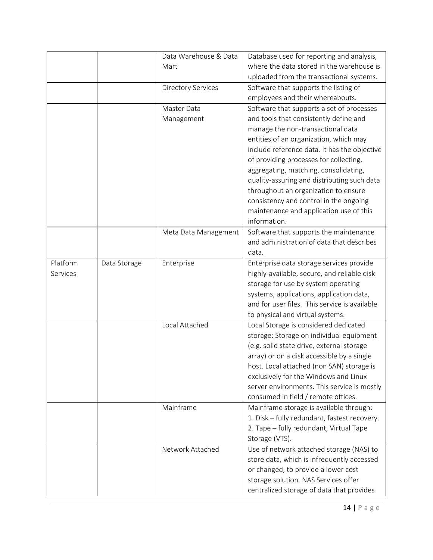|          |              | Data Warehouse & Data     | Database used for reporting and analysis,     |
|----------|--------------|---------------------------|-----------------------------------------------|
|          |              | Mart                      | where the data stored in the warehouse is     |
|          |              |                           | uploaded from the transactional systems.      |
|          |              | <b>Directory Services</b> | Software that supports the listing of         |
|          |              |                           | employees and their whereabouts.              |
|          |              | Master Data               | Software that supports a set of processes     |
|          |              | Management                | and tools that consistently define and        |
|          |              |                           | manage the non-transactional data             |
|          |              |                           | entities of an organization, which may        |
|          |              |                           | include reference data. It has the objective  |
|          |              |                           | of providing processes for collecting,        |
|          |              |                           | aggregating, matching, consolidating,         |
|          |              |                           | quality-assuring and distributing such data   |
|          |              |                           | throughout an organization to ensure          |
|          |              |                           | consistency and control in the ongoing        |
|          |              |                           | maintenance and application use of this       |
|          |              |                           | information.                                  |
|          |              | Meta Data Management      | Software that supports the maintenance        |
|          |              |                           | and administration of data that describes     |
|          |              |                           | data.                                         |
| Platform | Data Storage | Enterprise                | Enterprise data storage services provide      |
| Services |              |                           | highly-available, secure, and reliable disk   |
|          |              |                           | storage for use by system operating           |
|          |              |                           | systems, applications, application data,      |
|          |              |                           | and for user files. This service is available |
|          |              |                           | to physical and virtual systems.              |
|          |              | Local Attached            | Local Storage is considered dedicated         |
|          |              |                           | storage: Storage on individual equipment      |
|          |              |                           | (e.g. solid state drive, external storage     |
|          |              |                           | array) or on a disk accessible by a single    |
|          |              |                           | host. Local attached (non SAN) storage is     |
|          |              |                           | exclusively for the Windows and Linux         |
|          |              |                           | server environments. This service is mostly   |
|          |              |                           | consumed in field / remote offices.           |
|          |              | Mainframe                 | Mainframe storage is available through:       |
|          |              |                           | 1. Disk - fully redundant, fastest recovery.  |
|          |              |                           | 2. Tape - fully redundant, Virtual Tape       |
|          |              |                           | Storage (VTS).                                |
|          |              | Network Attached          | Use of network attached storage (NAS) to      |
|          |              |                           | store data, which is infrequently accessed    |
|          |              |                           | or changed, to provide a lower cost           |
|          |              |                           | storage solution. NAS Services offer          |
|          |              |                           | centralized storage of data that provides     |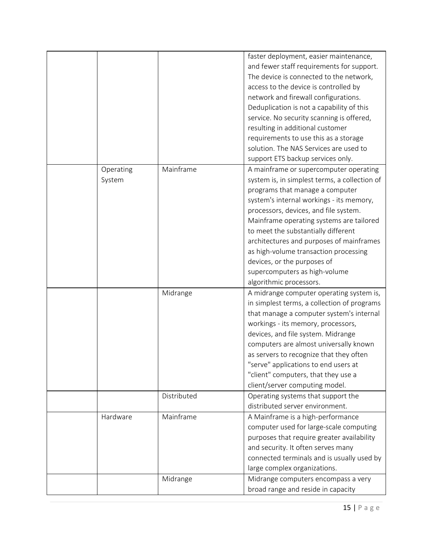|                     |             | faster deployment, easier maintenance,<br>and fewer staff requirements for support.<br>The device is connected to the network,<br>access to the device is controlled by<br>network and firewall configurations.<br>Deduplication is not a capability of this<br>service. No security scanning is offered,<br>resulting in additional customer<br>requirements to use this as a storage<br>solution. The NAS Services are used to<br>support ETS backup services only.              |
|---------------------|-------------|------------------------------------------------------------------------------------------------------------------------------------------------------------------------------------------------------------------------------------------------------------------------------------------------------------------------------------------------------------------------------------------------------------------------------------------------------------------------------------|
| Operating<br>System | Mainframe   | A mainframe or supercomputer operating<br>system is, in simplest terms, a collection of<br>programs that manage a computer<br>system's internal workings - its memory,<br>processors, devices, and file system.<br>Mainframe operating systems are tailored<br>to meet the substantially different<br>architectures and purposes of mainframes<br>as high-volume transaction processing<br>devices, or the purposes of<br>supercomputers as high-volume<br>algorithmic processors. |
|                     | Midrange    | A midrange computer operating system is,<br>in simplest terms, a collection of programs<br>that manage a computer system's internal<br>workings - its memory, processors,<br>devices, and file system. Midrange<br>computers are almost universally known<br>as servers to recognize that they often<br>"serve" applications to end users at<br>"client" computers, that they use a<br>client/server computing model.                                                              |
|                     | Distributed | Operating systems that support the<br>distributed server environment.                                                                                                                                                                                                                                                                                                                                                                                                              |
| Hardware            | Mainframe   | A Mainframe is a high-performance<br>computer used for large-scale computing<br>purposes that require greater availability<br>and security. It often serves many<br>connected terminals and is usually used by<br>large complex organizations.                                                                                                                                                                                                                                     |
|                     | Midrange    | Midrange computers encompass a very<br>broad range and reside in capacity                                                                                                                                                                                                                                                                                                                                                                                                          |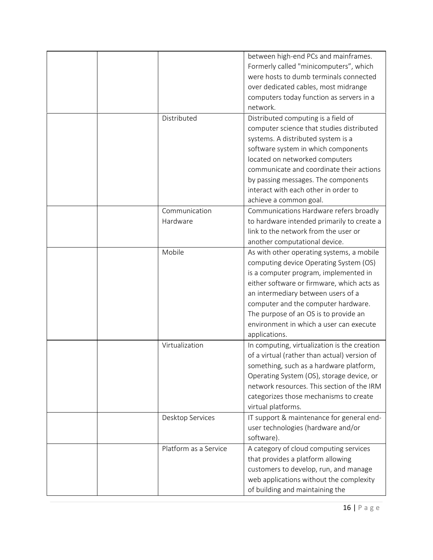|                       | between high-end PCs and mainframes.         |
|-----------------------|----------------------------------------------|
|                       | Formerly called "minicomputers", which       |
|                       | were hosts to dumb terminals connected       |
|                       | over dedicated cables, most midrange         |
|                       | computers today function as servers in a     |
|                       | network.                                     |
| Distributed           | Distributed computing is a field of          |
|                       | computer science that studies distributed    |
|                       | systems. A distributed system is a           |
|                       | software system in which components          |
|                       | located on networked computers               |
|                       | communicate and coordinate their actions     |
|                       | by passing messages. The components          |
|                       | interact with each other in order to         |
|                       | achieve a common goal.                       |
| Communication         | Communications Hardware refers broadly       |
| Hardware              | to hardware intended primarily to create a   |
|                       | link to the network from the user or         |
|                       | another computational device.                |
| Mobile                | As with other operating systems, a mobile    |
|                       | computing device Operating System (OS)       |
|                       | is a computer program, implemented in        |
|                       | either software or firmware, which acts as   |
|                       | an intermediary between users of a           |
|                       | computer and the computer hardware.          |
|                       | The purpose of an OS is to provide an        |
|                       | environment in which a user can execute      |
|                       | applications.                                |
| Virtualization        | In computing, virtualization is the creation |
|                       | of a virtual (rather than actual) version of |
|                       | something, such as a hardware platform,      |
|                       | Operating System (OS), storage device, or    |
|                       | network resources. This section of the IRM   |
|                       | categorizes those mechanisms to create       |
|                       | virtual platforms.                           |
| Desktop Services      | IT support & maintenance for general end-    |
|                       | user technologies (hardware and/or           |
|                       | software).                                   |
| Platform as a Service | A category of cloud computing services       |
|                       | that provides a platform allowing            |
|                       | customers to develop, run, and manage        |
|                       | web applications without the complexity      |
|                       | of building and maintaining the              |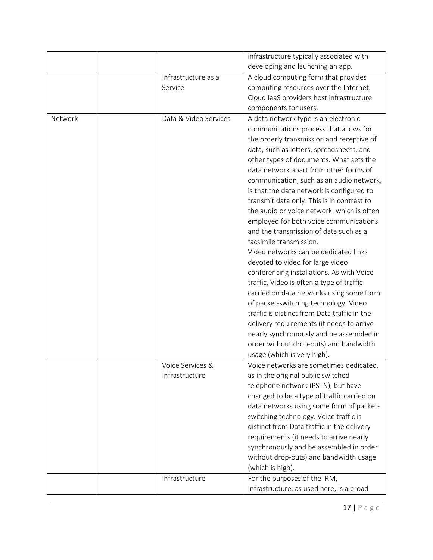|         |                       | infrastructure typically associated with     |
|---------|-----------------------|----------------------------------------------|
|         |                       | developing and launching an app.             |
|         | Infrastructure as a   | A cloud computing form that provides         |
|         | Service               | computing resources over the Internet.       |
|         |                       | Cloud laaS providers host infrastructure     |
|         |                       | components for users.                        |
| Network | Data & Video Services | A data network type is an electronic         |
|         |                       | communications process that allows for       |
|         |                       | the orderly transmission and receptive of    |
|         |                       | data, such as letters, spreadsheets, and     |
|         |                       | other types of documents. What sets the      |
|         |                       | data network apart from other forms of       |
|         |                       | communication, such as an audio network,     |
|         |                       | is that the data network is configured to    |
|         |                       | transmit data only. This is in contrast to   |
|         |                       | the audio or voice network, which is often   |
|         |                       | employed for both voice communications       |
|         |                       | and the transmission of data such as a       |
|         |                       | facsimile transmission.                      |
|         |                       | Video networks can be dedicated links        |
|         |                       | devoted to video for large video             |
|         |                       | conferencing installations. As with Voice    |
|         |                       | traffic, Video is often a type of traffic    |
|         |                       | carried on data networks using some form     |
|         |                       | of packet-switching technology. Video        |
|         |                       | traffic is distinct from Data traffic in the |
|         |                       | delivery requirements (it needs to arrive    |
|         |                       | nearly synchronously and be assembled in     |
|         |                       | order without drop-outs) and bandwidth       |
|         |                       | usage (which is very high).                  |
|         | Voice Services &      | Voice networks are sometimes dedicated,      |
|         | Infrastructure        | as in the original public switched           |
|         |                       | telephone network (PSTN), but have           |
|         |                       | changed to be a type of traffic carried on   |
|         |                       | data networks using some form of packet-     |
|         |                       | switching technology. Voice traffic is       |
|         |                       | distinct from Data traffic in the delivery   |
|         |                       | requirements (it needs to arrive nearly      |
|         |                       | synchronously and be assembled in order      |
|         |                       | without drop-outs) and bandwidth usage       |
|         |                       | (which is high).                             |
|         | Infrastructure        | For the purposes of the IRM,                 |
|         |                       | Infrastructure, as used here, is a broad     |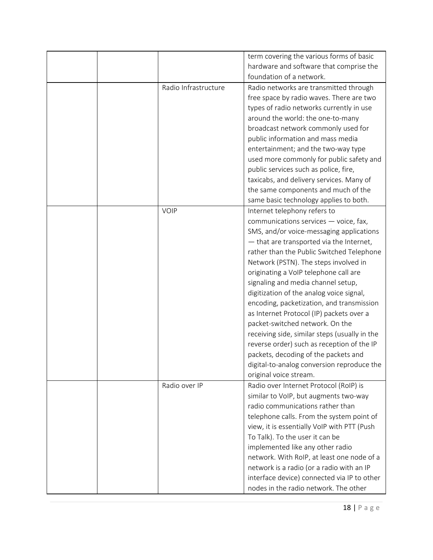|                      | term covering the various forms of basic      |
|----------------------|-----------------------------------------------|
|                      | hardware and software that comprise the       |
|                      | foundation of a network.                      |
| Radio Infrastructure | Radio networks are transmitted through        |
|                      |                                               |
|                      | free space by radio waves. There are two      |
|                      | types of radio networks currently in use      |
|                      | around the world: the one-to-many             |
|                      | broadcast network commonly used for           |
|                      | public information and mass media             |
|                      | entertainment; and the two-way type           |
|                      | used more commonly for public safety and      |
|                      | public services such as police, fire,         |
|                      | taxicabs, and delivery services. Many of      |
|                      | the same components and much of the           |
|                      | same basic technology applies to both.        |
| VOIP                 | Internet telephony refers to                  |
|                      | communications services - voice, fax,         |
|                      | SMS, and/or voice-messaging applications      |
|                      | $-$ that are transported via the Internet,    |
|                      | rather than the Public Switched Telephone     |
|                      | Network (PSTN). The steps involved in         |
|                      | originating a VoIP telephone call are         |
|                      | signaling and media channel setup,            |
|                      | digitization of the analog voice signal,      |
|                      | encoding, packetization, and transmission     |
|                      | as Internet Protocol (IP) packets over a      |
|                      | packet-switched network. On the               |
|                      |                                               |
|                      | receiving side, similar steps (usually in the |
|                      | reverse order) such as reception of the IP    |
|                      | packets, decoding of the packets and          |
|                      | digital-to-analog conversion reproduce the    |
|                      | original voice stream.                        |
| Radio over IP        | Radio over Internet Protocol (RoIP) is        |
|                      | similar to VoIP, but augments two-way         |
|                      | radio communications rather than              |
|                      | telephone calls. From the system point of     |
|                      | view, it is essentially VoIP with PTT (Push   |
|                      | To Talk). To the user it can be               |
|                      | implemented like any other radio              |
|                      | network. With RoIP, at least one node of a    |
|                      | network is a radio (or a radio with an IP     |
|                      | interface device) connected via IP to other   |
|                      | nodes in the radio network. The other         |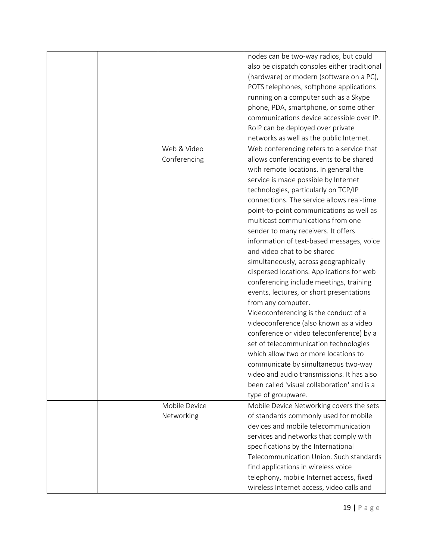|  |               | nodes can be two-way radios, but could       |
|--|---------------|----------------------------------------------|
|  |               | also be dispatch consoles either traditional |
|  |               | (hardware) or modern (software on a PC),     |
|  |               | POTS telephones, softphone applications      |
|  |               | running on a computer such as a Skype        |
|  |               | phone, PDA, smartphone, or some other        |
|  |               | communications device accessible over IP.    |
|  |               | RoIP can be deployed over private            |
|  |               | networks as well as the public Internet.     |
|  | Web & Video   | Web conferencing refers to a service that    |
|  | Conferencing  | allows conferencing events to be shared      |
|  |               |                                              |
|  |               | with remote locations. In general the        |
|  |               | service is made possible by Internet         |
|  |               | technologies, particularly on TCP/IP         |
|  |               | connections. The service allows real-time    |
|  |               | point-to-point communications as well as     |
|  |               | multicast communications from one            |
|  |               | sender to many receivers. It offers          |
|  |               | information of text-based messages, voice    |
|  |               | and video chat to be shared                  |
|  |               | simultaneously, across geographically        |
|  |               | dispersed locations. Applications for web    |
|  |               | conferencing include meetings, training      |
|  |               | events, lectures, or short presentations     |
|  |               | from any computer.                           |
|  |               | Videoconferencing is the conduct of a        |
|  |               | videoconference (also known as a video       |
|  |               | conference or video teleconference) by a     |
|  |               | set of telecommunication technologies        |
|  |               | which allow two or more locations to         |
|  |               | communicate by simultaneous two-way          |
|  |               | video and audio transmissions. It has also   |
|  |               | been called 'visual collaboration' and is a  |
|  |               | type of groupware.                           |
|  | Mobile Device | Mobile Device Networking covers the sets     |
|  | Networking    | of standards commonly used for mobile        |
|  |               | devices and mobile telecommunication         |
|  |               | services and networks that comply with       |
|  |               | specifications by the International          |
|  |               | Telecommunication Union. Such standards      |
|  |               | find applications in wireless voice          |
|  |               | telephony, mobile Internet access, fixed     |
|  |               | wireless Internet access, video calls and    |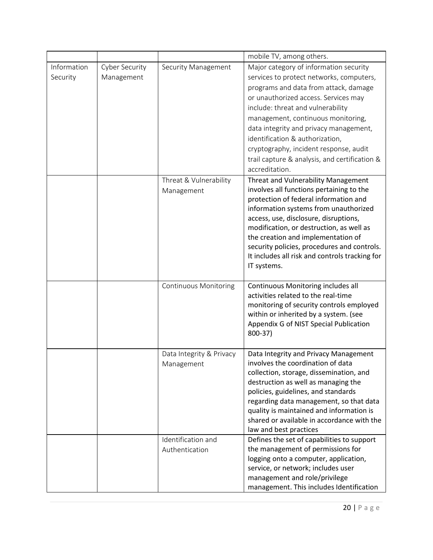|                         |                                     |                                        | mobile TV, among others.                                                                                                                                                                                                                                                                                                                                                                                                                 |
|-------------------------|-------------------------------------|----------------------------------------|------------------------------------------------------------------------------------------------------------------------------------------------------------------------------------------------------------------------------------------------------------------------------------------------------------------------------------------------------------------------------------------------------------------------------------------|
| Information<br>Security | <b>Cyber Security</b><br>Management | Security Management                    | Major category of information security<br>services to protect networks, computers,<br>programs and data from attack, damage<br>or unauthorized access. Services may<br>include: threat and vulnerability<br>management, continuous monitoring,<br>data integrity and privacy management,<br>identification & authorization,<br>cryptography, incident response, audit<br>trail capture & analysis, and certification &<br>accreditation. |
|                         |                                     | Threat & Vulnerability<br>Management   | Threat and Vulnerability Management<br>involves all functions pertaining to the<br>protection of federal information and<br>information systems from unauthorized<br>access, use, disclosure, disruptions,<br>modification, or destruction, as well as<br>the creation and implementation of<br>security policies, procedures and controls.<br>It includes all risk and controls tracking for<br>IT systems.                             |
|                         |                                     | <b>Continuous Monitoring</b>           | Continuous Monitoring includes all<br>activities related to the real-time<br>monitoring of security controls employed<br>within or inherited by a system. (see<br>Appendix G of NIST Special Publication<br>800-37)                                                                                                                                                                                                                      |
|                         |                                     | Data Integrity & Privacy<br>Management | Data Integrity and Privacy Management<br>involves the coordination of data<br>collection, storage, dissemination, and<br>destruction as well as managing the<br>policies, guidelines, and standards<br>regarding data management, so that data<br>quality is maintained and information is<br>shared or available in accordance with the<br>law and best practices                                                                       |
|                         |                                     | Identification and<br>Authentication   | Defines the set of capabilities to support<br>the management of permissions for<br>logging onto a computer, application,<br>service, or network; includes user<br>management and role/privilege<br>management. This includes Identification                                                                                                                                                                                              |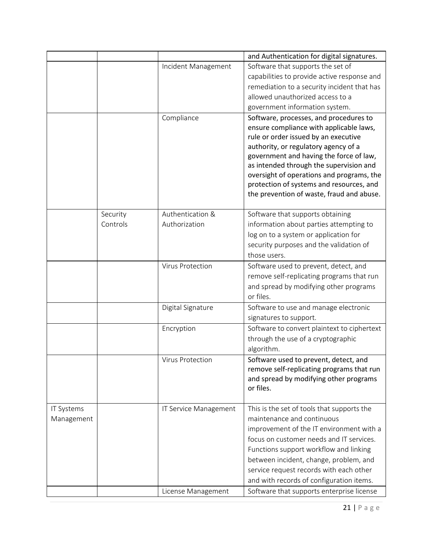|                                     | and Authentication for digital signatures.                                           |
|-------------------------------------|--------------------------------------------------------------------------------------|
| Incident Management                 | Software that supports the set of                                                    |
|                                     | capabilities to provide active response and                                          |
|                                     | remediation to a security incident that has                                          |
|                                     | allowed unauthorized access to a                                                     |
|                                     | government information system.                                                       |
| Compliance                          | Software, processes, and procedures to                                               |
|                                     | ensure compliance with applicable laws,                                              |
|                                     | rule or order issued by an executive                                                 |
|                                     | authority, or regulatory agency of a                                                 |
|                                     | government and having the force of law,                                              |
|                                     | as intended through the supervision and<br>oversight of operations and programs, the |
|                                     | protection of systems and resources, and                                             |
|                                     | the prevention of waste, fraud and abuse.                                            |
|                                     |                                                                                      |
| Authentication &<br>Security        | Software that supports obtaining                                                     |
| Authorization<br>Controls           | information about parties attempting to                                              |
|                                     | log on to a system or application for                                                |
|                                     | security purposes and the validation of                                              |
| those users.                        |                                                                                      |
| Virus Protection                    | Software used to prevent, detect, and                                                |
|                                     | remove self-replicating programs that run                                            |
|                                     | and spread by modifying other programs                                               |
| or files.                           |                                                                                      |
| Digital Signature                   | Software to use and manage electronic                                                |
|                                     | signatures to support.                                                               |
| Encryption                          | Software to convert plaintext to ciphertext                                          |
|                                     | through the use of a cryptographic                                                   |
| algorithm.                          |                                                                                      |
| <b>Virus Protection</b>             | Software used to prevent, detect, and                                                |
|                                     | remove self-replicating programs that run                                            |
| or files.                           | and spread by modifying other programs                                               |
|                                     |                                                                                      |
| IT Systems<br>IT Service Management | This is the set of tools that supports the                                           |
| Management                          | maintenance and continuous                                                           |
|                                     | improvement of the IT environment with a                                             |
|                                     | focus on customer needs and IT services.                                             |
|                                     | Functions support workflow and linking                                               |
|                                     | between incident, change, problem, and                                               |
|                                     | service request records with each other                                              |
|                                     | and with records of configuration items.                                             |
| License Management                  | Software that supports enterprise license                                            |